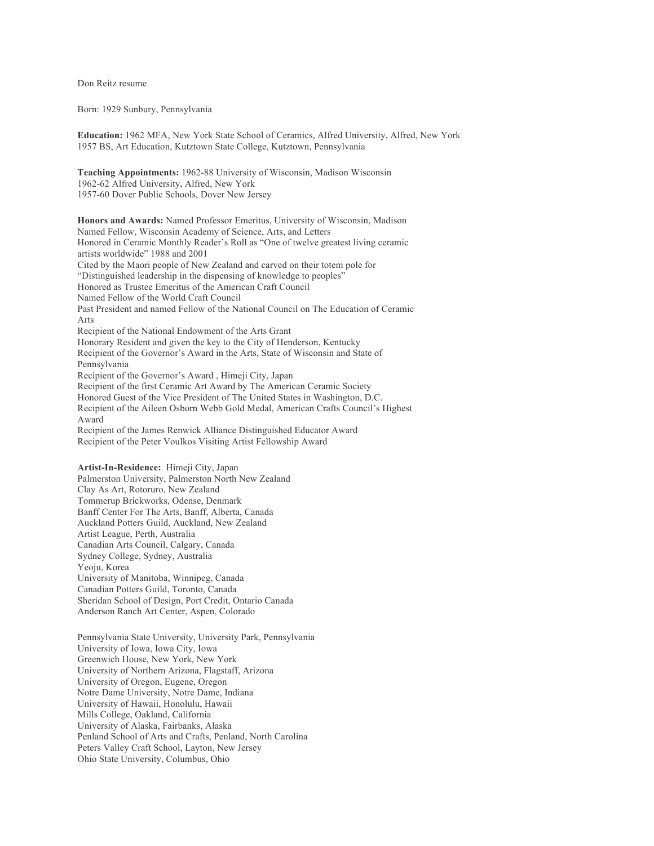Don Reitz resume

Born: 1929 Sunbury, Pennsylvania

**Education:** 1962 MFA, New York State School of Ceramics, Alfred University, Alfred, New York 1957 BS, Art Education, Kutztown State College, Kutztown, Pennsylvania

**Teaching Appointments:** 1962-88 University of Wisconsin, Madison Wisconsin 1962-62 Alfred University, Alfred, New York 1957-60 Dover Public Schools, Dover New Jersey

**Honors and Awards:** Named Professor Emeritus, University of Wisconsin, Madison Named Fellow, Wisconsin Academy of Science, Arts, and Letters Honored in Ceramic Monthly Reader's Roll as "One of twelve greatest living ceramic artists worldwide" 1988 and 2001 Cited by the Maori people of New Zealand and carved on their totem pole for "Distinguished leadership in the dispensing of knowledge to peoples" Honored as Trustee Emeritus of the American Craft Council Named Fellow of the World Craft Council Past President and named Fellow of the National Council on The Education of Ceramic Arts Recipient of the National Endowment of the Arts Grant Honorary Resident and given the key to the City of Henderson, Kentucky Recipient of the Governor's Award in the Arts, State of Wisconsin and State of Pennsylvania Recipient of the Governor's Award , Himeji City, Japan Recipient of the first Ceramic Art Award by The American Ceramic Society Honored Guest of the Vice President of The United States in Washington, D.C. Recipient of the Aileen Osborn Webb Gold Medal, American Crafts Council's Highest Award Recipient of the James Renwick Alliance Distinguished Educator Award Recipient of the Peter Voulkos Visiting Artist Fellowship Award

**Artist-In-Residence:** Himeji City, Japan Palmerston University, Palmerston North New Zealand Clay As Art, Rotoruro, New Zealand Tommerup Brickworks, Odense, Denmark Banff Center For The Arts, Banff, Alberta, Canada Auckland Potters Guild, Auckland, New Zealand Artist League, Perth, Australia Canadian Arts Council, Calgary, Canada Sydney College, Sydney, Australia Yeoju, Korea University of Manitoba, Winnipeg, Canada Canadian Potters Guild, Toronto, Canada Sheridan School of Design, Port Credit, Ontario Canada Anderson Ranch Art Center, Aspen, Colorado

Pennsylvania State University, University Park, Pennsylvania University of Iowa, Iowa City, Iowa Greenwich House, New York, New York University of Northern Arizona, Flagstaff, Arizona University of Oregon, Eugene, Oregon Notre Dame University, Notre Dame, Indiana University of Hawaii, Honolulu, Hawaii Mills College, Oakland, California University of Alaska, Fairbanks, Alaska Penland School of Arts and Crafts, Penland, North Carolina Peters Valley Craft School, Layton, New Jersey Ohio State University, Columbus, Ohio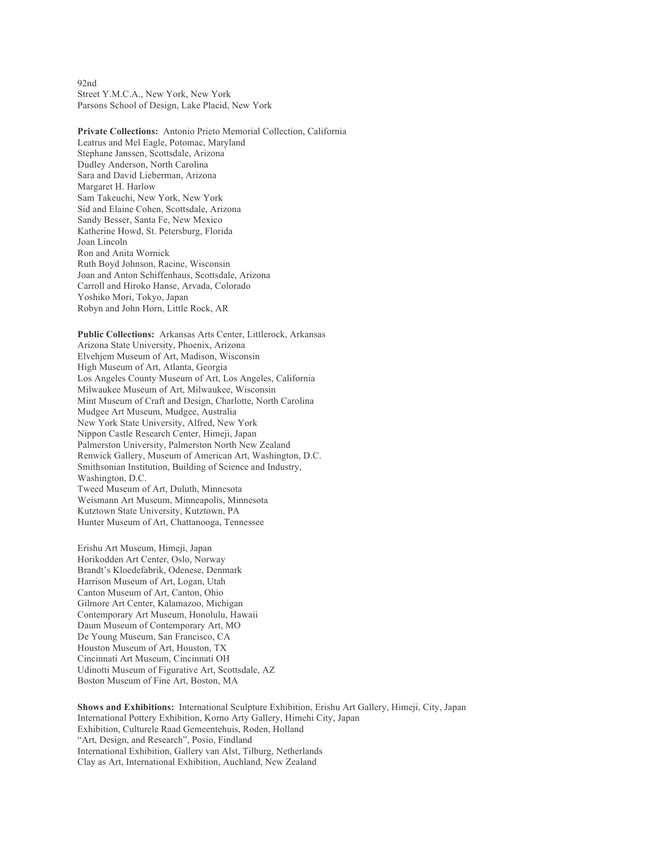92nd Street Y.M.C.A., New York, New York Parsons School of Design, Lake Placid, New York

**Private Collections:** Antonio Prieto Memorial Collection, California Leatrus and Mel Eagle, Potomac, Maryland Stephane Janssen, Scottsdale, Arizona Dudley Anderson, North Carolina Sara and David Lieberman, Arizona Margaret H. Harlow Sam Takeuchi, New York, New York Sid and Elaine Cohen, Scottsdale, Arizona Sandy Besser, Santa Fe, New Mexico Katherine Howd, St. Petersburg, Florida Joan Lincoln Ron and Anita Wornick Ruth Boyd Johnson, Racine, Wisconsin Joan and Anton Schiffenhaus, Scottsdale, Arizona Carroll and Hiroko Hanse, Arvada, Colorado Yoshiko Mori, Tokyo, Japan Robyn and John Horn, Little Rock, AR

**Public Collections:** Arkansas Arts Center, Littlerock, Arkansas Arizona State University, Phoenix, Arizona Elvehjem Museum of Art, Madison, Wisconsin High Museum of Art, Atlanta, Georgia Los Angeles County Museum of Art, Los Angeles, California Milwaukee Museum of Art, Milwaukee, Wisconsin Mint Museum of Craft and Design, Charlotte, North Carolina Mudgee Art Museum, Mudgee, Australia New York State University, Alfred, New York Nippon Castle Research Center, Himeji, Japan Palmerston University, Palmerston North New Zealand Renwick Gallery, Museum of American Art, Washington, D.C. Smithsonian Institution, Building of Science and Industry, Washington, D.C. Tweed Museum of Art, Duluth, Minnesota Weismann Art Museum, Minneapolis, Minnesota Kutztown State University, Kutztown, PA Hunter Museum of Art, Chattanooga, Tennessee

Erishu Art Museum, Himeji, Japan Horikodden Art Center, Oslo, Norway Brandt's Kloedefabrik, Odenese, Denmark Harrison Museum of Art, Logan, Utah Canton Museum of Art, Canton, Ohio Gilmore Art Center, Kalamazoo, Michigan Contemporary Art Museum, Honolulu, Hawaii Daum Museum of Contemporary Art, MO De Young Museum, San Francisco, CA Houston Museum of Art, Houston, TX Cincinnati Art Museum, Cincinnati OH Udinotti Museum of Figurative Art, Scottsdale, AZ Boston Museum of Fine Art, Boston, MA

**Shows and Exhibitions:** International Sculpture Exhibition, Erishu Art Gallery, Himeji, City, Japan International Pottery Exhibition, Korno Arty Gallery, Himehi City, Japan Exhibition, Culturele Raad Gemeentehuis, Roden, Holland "Art, Design, and Research", Posio, Findland International Exhibition, Gallery van Alst, Tilburg, Netherlands Clay as Art, International Exhibition, Auchland, New Zealand